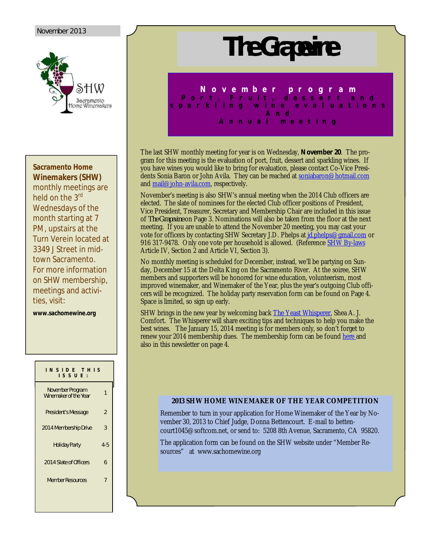#### November 2013



#### **Sacramento Home Winemakers (SHW)**

monthly meetings are held on the 3<sup>rd</sup> Wednesdays of the month starting at 7 PM, upstairs at the Turn Verein located at 3349 J Street in midtown Sacramento. For more information on SHW membership, meetings and activities, visit:

**www.sachomewine.org** 

# **I N S I D E T H I S I S S U E :** November Program November Program<br>Winemaker of the Year 1 President's Message 2 2014 Membership Drive 3 Holiday Party 4-5 2014 Slate of Officers 6 Member Resources 7

# **The Grapevine**

**N o v e m b e r p r o g r a m** P o r t , F r u i t , d e s s e r t a n d **s p a r k l i n g w i n e e v a l u a t i o n s A n d A n n u a l m e e t i n g**

The last SHW monthly meeting for year is on Wednesday, *November 20*. The program for this meeting is the evaluation of port, fruit, dessert and sparkling wines. If you have wines you would like to bring for evaluation, please contact Co-Vice Presidents Sonia Baron or John Avila. They can be reached at soniabaron@hotmail.com and mail@john-avila.com, respectively.

November's meeting is also SHW's annual meeting when the 2014 Club officers are elected. The slate of nominees for the elected Club officer positions of President, Vice President, Treasurer, Secretary and Membership Chair are included in this issue of *The Grapevine* on Page 3. Nominations will also be taken from the floor at the next meeting. If you are unable to attend the November 20 meeting, you may cast your vote for officers by contacting SHW Secretary J.D. Phelps at *id.phelps@gmail.com* or 916 317-9478. Only one vote per household is allowed. (Reference SHW By-laws Article IV, Section 2 and Article VI, Section 3).

No monthly meeting is scheduled for December, instead, we'll be partying on Sunday, December 15 at the Delta King on the Sacramento River. At the soiree, SHW members and supporters will be honored for wine education, volunteerism, most improved winemaker, and Winemaker of the Year, plus the year's outgoing Club officers will be recognized. The holiday party reservation form can be found on Page 4. Space is limited, so sign up early.

SHW brings in the new year by welcoming back The Yeast Whisperer, Shea A. J. Comfort. The Whisperer will share exciting tips and techniques to help you make the best wines. The January 15, 2014 meeting is for members only, so don't forget to renew your 2014 membership dues. The membership form can be found here and also in this newsletter on page 4.

#### **2013 SHW HOME WINEMAKER OF THE YEAR COMPETITION**

Remember to turn in your application for Home Winemaker of the Year by November 30, 2013 to Chief Judge, Donna Bettencourt. E-mail to bettencourt1045@softcom.net, or send to: 5208 8th Avenue, Sacramento, CA 95820.

The application form can be found on the SHW website under "Member Resources" at www.sachomewine.org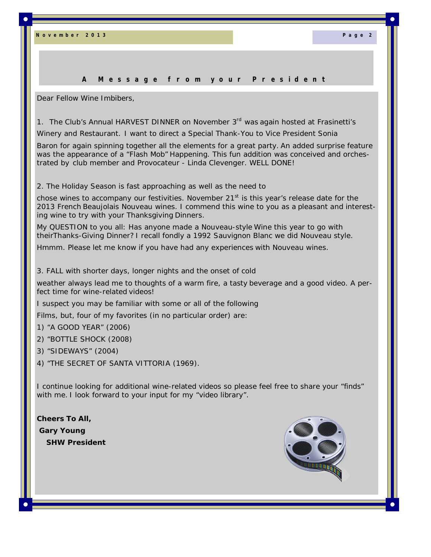**N o v e m b e r 2 0 1 3 P a g e 2**

#### **A M e s s a g e f r o m y o u r P r e s i d e n t**

Dear Fellow Wine Imbibers,

1. The Club's Annual HARVEST DINNER on November 3<sup>rd</sup> was again hosted at Frasinetti's

Winery and Restaurant. I want to direct a Special Thank-You to Vice President Sonia

Baron for again spinning together all the elements for a great party. An added surprise feature was the appearance of a "Flash Mob" Happening. This fun addition was conceived and orchestrated by club member and Provocateur - Linda Clevenger. WELL DONE!

2. The Holiday Season is fast approaching as well as the need to

chose wines to accompany our festivities. November 21 $<sup>st</sup>$  is this year's release date for the</sup> 2013 French Beaujolais Nouveau wines. I commend this wine to you as a pleasant and interesting wine to try with your Thanksgiving Dinners.

My QUESTION to you all: Has anyone made a Nouveau-style Wine this year to go with theirThanks-Giving Dinner? I recall fondly a 1992 Sauvignon Blanc we did Nouveau style.

Hmmm. Please let me know if you have had any experiences with Nouveau wines.

3. FALL with shorter days, longer nights and the onset of cold

weather always lead me to thoughts of a warm fire, a tasty beverage and a good video. A perfect time for wine-related videos!

I suspect you may be familiar with some or all of the following

Films, but, four of my favorites (in no particular order) are:

- 1) "A GOOD YEAR" (2006)
- 2) "BOTTLE SHOCK (2008)
- 3) "SIDEWAYS" (2004)
- 4) "THE SECRET OF SANTA VITTORIA (1969).

I continue looking for additional wine-related videos so please feel free to share your "finds" with me. I look forward to your input for my "video library".

**Cheers To All, Gary Young SHW President**

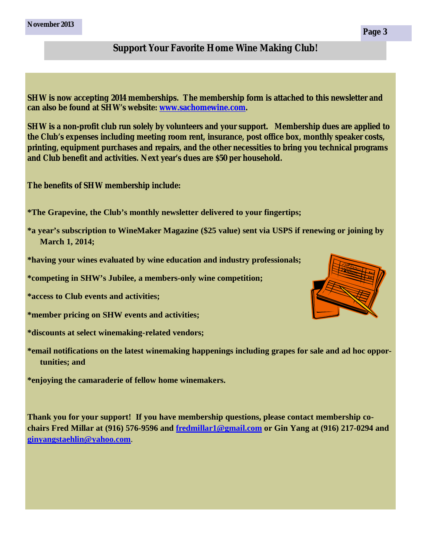**November 2013**

### **Support Your Favorite Home Wine Making Club!**

**SHW is now accepting 2014 memberships. The membership form is attached to this newsletter and can also be found at SHW's website: www.sachomewine.com.**

**SHW is a non-profit club run solely by volunteers and your support. Membership dues are applied to the Club's expenses including meeting room rent, insurance, post office box, monthly speaker costs, printing, equipment purchases and repairs, and the other necessities to bring you technical programs and Club benefit and activities. Next year's dues are \$50 per household.**

**The benefits of SHW membership include:**

**\*The Grapevine, the Club's monthly newsletter delivered to your fingertips;**

- **\*a year's subscription to WineMaker Magazine (\$25 value) sent via USPS if renewing or joining by March 1, 2014;**
- **\*having your wines evaluated by wine education and industry professionals;**
- **\*competing in SHW's Jubilee, a members-only wine competition;**
- **\*access to Club events and activities;**
- **\*member pricing on SHW events and activities;**
- **\*discounts at select winemaking-related vendors;**
- **\*email notifications on the latest winemaking happenings including grapes for sale and ad hoc opportunities; and**

**\*enjoying the camaraderie of fellow home winemakers.**

**Thank you for your support! If you have membership questions, please contact membership cochairs Fred Millar at (916) 576-9596 and fredmillar1@gmail.com or Gin Yang at (916) 217-0294 and ginyangstaehlin@yahoo.com**.

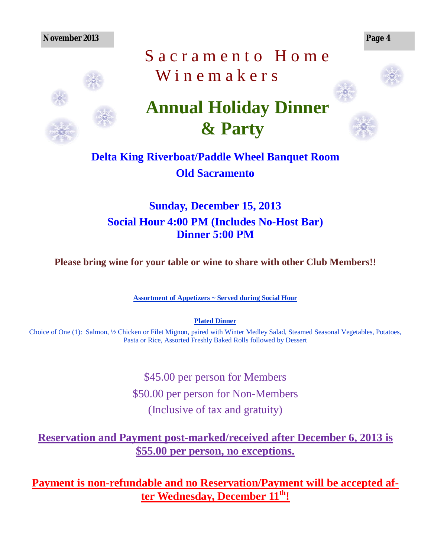**November 2013 Page 4**



# Sacramento Home W inemakers



# **Annual Holiday Dinner & Party**

# **Delta King Riverboat/Paddle Wheel Banquet Room Old Sacramento**

# **Sunday, December 15, 2013 Social Hour 4:00 PM (Includes No-Host Bar) Dinner 5:00 PM**

**Please bring wine for your table or wine to share with other Club Members!!**

**Assortment of Appetizers ~ Served during Social Hour**

**Plated Dinner**

Choice of One (1): Salmon, ½ Chicken or Filet Mignon, paired with Winter Medley Salad, Steamed Seasonal Vegetables, Potatoes, Pasta or Rice, Assorted Freshly Baked Rolls followed by Dessert

> \$45.00 per person for Members \$50.00 per person for Non-Members (Inclusive of tax and gratuity)

# **Reservation and Payment post-marked/received after December 6, 2013 is \$55.00 per person, no exceptions.**

**Payment is non-refundable and no Reservation/Payment will be accepted after Wednesday, December 11th!**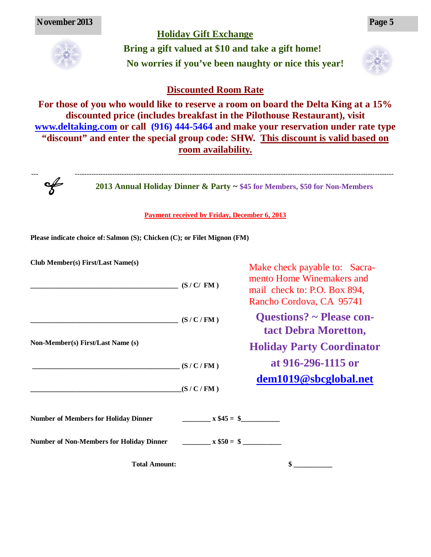## **Holiday Gift Exchange**



**Bring a gift valued at \$10 and take a gift home! No worries if you've been naughty or nice this year!**



## **Discounted Room Rate**

**For those of you who would like to reserve a room on board the Delta King at a 15% discounted price (includes breakfast in the Pilothouse Restaurant), visit www.deltaking.com or call (916) 444-5464 and make your reservation under rate type "discount" and enter the special group code: SHW. This discount is valid based on room availability.**

--- ----------------------------------------------------------------------------------------------------------------------------------------  $\frac{1}{2}$ 

**2013 Annual Holiday Dinner & Party ~ \$45 for Members, \$50 for Non-Members**

#### **Payment received by Friday, December 6, 2013**

**Please indicate choice of: Salmon (S); Chicken (C); or Filet Mignon (FM)**

| Club Member(s) First/Last Name(s)               | (S/C/FM)    | Make check payable to: Sacra-<br>mento Home Winemakers and<br>mail check to: P.O. Box 894,<br>Rancho Cordova, CA 95741 |
|-------------------------------------------------|-------------|------------------------------------------------------------------------------------------------------------------------|
| (S/C/FM)<br>Non-Member(s) First/Last Name (s)   |             | <b>Questions?</b> ~ Please con-<br>tact Debra Moretton,                                                                |
|                                                 |             | <b>Holiday Party Coordinator</b>                                                                                       |
|                                                 | (S/C/FM)    | at 916-296-1115 or                                                                                                     |
|                                                 | (S/C/FM)    | dem1019@sbcglobal.net                                                                                                  |
| <b>Number of Members for Holiday Dinner</b>     | $x $45 = $$ |                                                                                                                        |
| <b>Number of Non-Members for Holiday Dinner</b> | $x $50 = $$ |                                                                                                                        |
| <b>Total Amount:</b>                            |             |                                                                                                                        |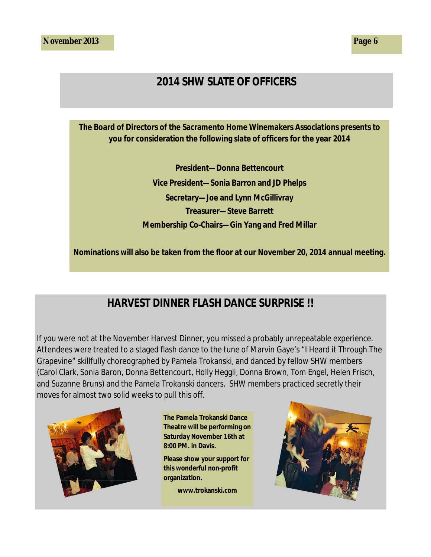# **2014 SHW SLATE OF OFFICERS**

**The Board of Directors of the Sacramento Home Winemakers Associations presents to you for consideration the following slate of officers for the year 2014**

> **President—Donna Bettencourt Vice President—Sonia Barron and JD Phelps Secretary—Joe and Lynn McGillivray Treasurer—Steve Barrett Membership Co-Chairs—Gin Yang and Fred Millar**

**Nominations will also be taken from the floor at our November 20, 2014 annual meeting.**

# **HARVEST DINNER FLASH DANCE SURPRISE !!**

If you were not at the November Harvest Dinner, you missed a probably unrepeatable experience. Attendees were treated to a staged flash dance to the tune of Marvin Gaye's "I Heard it Through The Grapevine" skillfully choreographed by Pamela Trokanski, and danced by fellow SHW members (Carol Clark, Sonia Baron, Donna Bettencourt, Holly Heggli, Donna Brown, Tom Engel, Helen Frisch, and Suzanne Bruns) and the Pamela Trokanski dancers. SHW members practiced secretly their moves for almost two solid weeks to pull this off.



**The Pamela Trokanski Dance Theatre will be performing on Saturday November 16th at 8:00 PM. in Davis.**

**Please show your support for this wonderful non-profit organization.**

**www.trokanski.com**